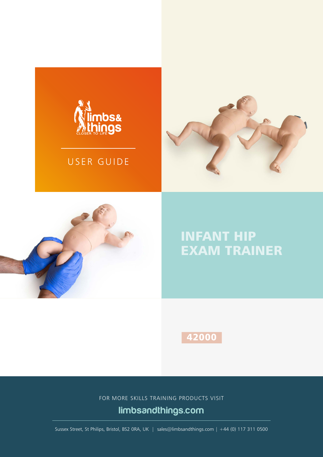

## USER GUIDE





## INFANT HIP EXAM TRAINER

42000

FOR MORE SKILLS TRAINING PRODUCTS VISIT

## limbsandthings.com

Sussex Street, St Philips, Bristol, BS2 0RA, UK | sales@limbsandthings.com | +44 (0) 117 311 0500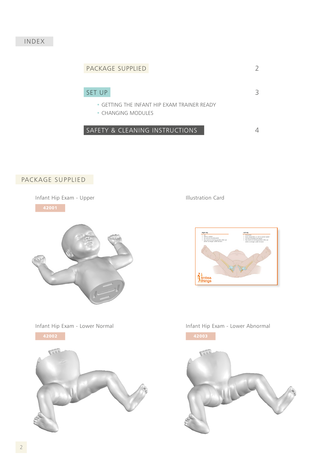#### INDEX



### PACKAGE SUPPLIED

Infant Hip Exam - Upper Infant Hip Exam - Upper





Infant Hip Exam - Lower Normal **Infant Hip Exam - Lower Abnormal** 



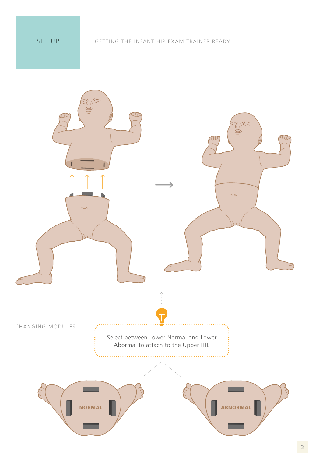SET UP